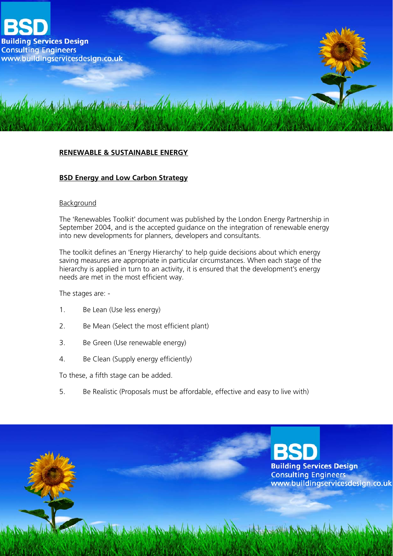

## **RENEWABLE & SUSTAINABLE ENERGY**

## **BSD Energy and Low Carbon Strategy**

#### Background

The 'Renewables Toolkit' document was published by the London Energy Partnership in September 2004, and is the accepted guidance on the integration of renewable energy into new developments for planners, developers and consultants.

The toolkit defines an 'Energy Hierarchy' to help guide decisions about which energy saving measures are appropriate in particular circumstances. When each stage of the hierarchy is applied in turn to an activity, it is ensured that the development's energy needs are met in the most efficient way.

The stages are: -

- 1. Be Lean (Use less energy)
- 2. Be Mean (Select the most efficient plant)
- 3. Be Green (Use renewable energy)
- 4. Be Clean (Supply energy efficiently)

To these, a fifth stage can be added.

5. Be Realistic (Proposals must be affordable, effective and easy to live with)

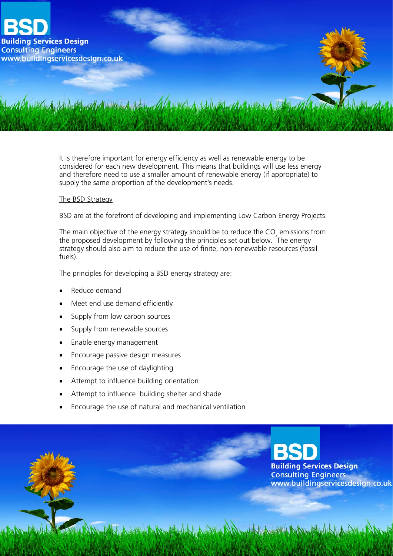

It is therefore important for energy efficiency as well as renewable energy to be considered for each new development. This means that buildings will use less energy and therefore need to use a smaller amount of renewable energy (if appropriate) to supply the same proportion of the development's needs.

### The BSD Strategy

BSD are at the forefront of developing and implementing Low Carbon Energy Projects.

The main objective of the energy strategy should be to reduce the CO<sub>2</sub> emissions from the proposed development by following the principles set out below. The energy strategy should also aim to reduce the use of finite, non-renewable resources (fossil fuels).

The principles for developing a BSD energy strategy are:

- Reduce demand
- Meet end use demand efficiently
- Supply from low carbon sources
- Supply from renewable sources
- Enable energy management
- Encourage passive design measures
- Encourage the use of daylighting
- Attempt to influence building orientation
- Attempt to influence building shelter and shade
- Encourage the use of natural and mechanical ventilation